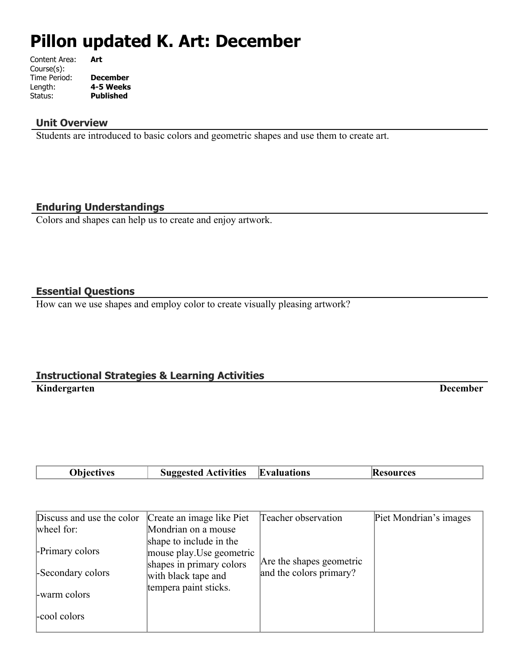# **Pillon updated K. Art: December**

| Art             |
|-----------------|
|                 |
| <b>December</b> |
| 4-5 Weeks       |
| Published       |
|                 |

#### **Unit Overview**

Students are introduced to basic colors and geometric shapes and use them to create art.

#### **Enduring Understandings**

Colors and shapes can help us to create and enjoy artwork.

#### **Essential Questions**

How can we use shapes and employ color to create visually pleasing artwork?

#### **Instructional Strategies & Learning Activities Kindergarten December**

|  | <b>Ohiect</b><br>ivac | <b>Activities</b><br>. | IF<br>valuations |  |  |
|--|-----------------------|------------------------|------------------|--|--|
|--|-----------------------|------------------------|------------------|--|--|

| Discuss and use the color | Create an image like Piet                                                        | Teacher observation      | Piet Mondrian's images |
|---------------------------|----------------------------------------------------------------------------------|--------------------------|------------------------|
| wheel for:                | Mondrian on a mouse                                                              |                          |                        |
| -Primary colors           | shape to include in the<br>mouse play. Use geometric<br>shapes in primary colors | Are the shapes geometric |                        |
| -Secondary colors         | with black tape and                                                              | and the colors primary?  |                        |
| -warm colors              | tempera paint sticks.                                                            |                          |                        |
| -cool colors              |                                                                                  |                          |                        |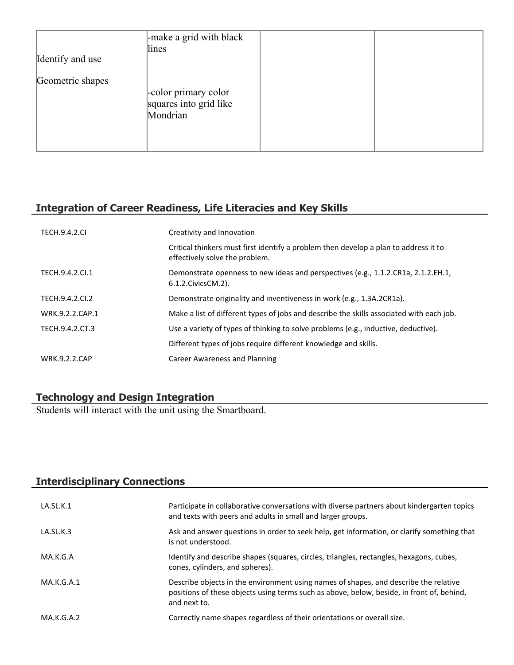| Identify and use | -make a grid with black<br>lines                           |  |
|------------------|------------------------------------------------------------|--|
| Geometric shapes | -color primary color<br>squares into grid like<br>Mondrian |  |

# **Integration of Career Readiness, Life Literacies and Key Skills**

| <b>TECH.9.4.2.CL</b> | Creativity and Innovation                                                                                              |
|----------------------|------------------------------------------------------------------------------------------------------------------------|
|                      | Critical thinkers must first identify a problem then develop a plan to address it to<br>effectively solve the problem. |
| TECH.9.4.2.Cl.1      | Demonstrate openness to new ideas and perspectives (e.g., 1.1.2.CR1a, 2.1.2.EH.1,<br>$6.1.2$ . Civics CM. $2$ ).       |
| TECH.9.4.2.CI.2      | Demonstrate originality and inventiveness in work (e.g., 1.3A.2CR1a).                                                  |
| WRK.9.2.2.CAP.1      | Make a list of different types of jobs and describe the skills associated with each job.                               |
| TECH.9.4.2.CT.3      | Use a variety of types of thinking to solve problems (e.g., inductive, deductive).                                     |
|                      | Different types of jobs require different knowledge and skills.                                                        |
| <b>WRK.9.2.2.CAP</b> | Career Awareness and Planning                                                                                          |

#### **Technology and Design Integration**

Students will interact with the unit using the Smartboard.

# **Interdisciplinary Connections**

| LA.SL.K.1  | Participate in collaborative conversations with diverse partners about kindergarten topics<br>and texts with peers and adults in small and larger groups.                                         |
|------------|---------------------------------------------------------------------------------------------------------------------------------------------------------------------------------------------------|
| LA.SL.K.3  | Ask and answer questions in order to seek help, get information, or clarify something that<br>is not understood.                                                                                  |
| MA.K.G.A   | Identify and describe shapes (squares, circles, triangles, rectangles, hexagons, cubes,<br>cones, cylinders, and spheres).                                                                        |
| MA.K.G.A.1 | Describe objects in the environment using names of shapes, and describe the relative<br>positions of these objects using terms such as above, below, beside, in front of, behind,<br>and next to. |
| MA.K.G.A.2 | Correctly name shapes regardless of their orientations or overall size.                                                                                                                           |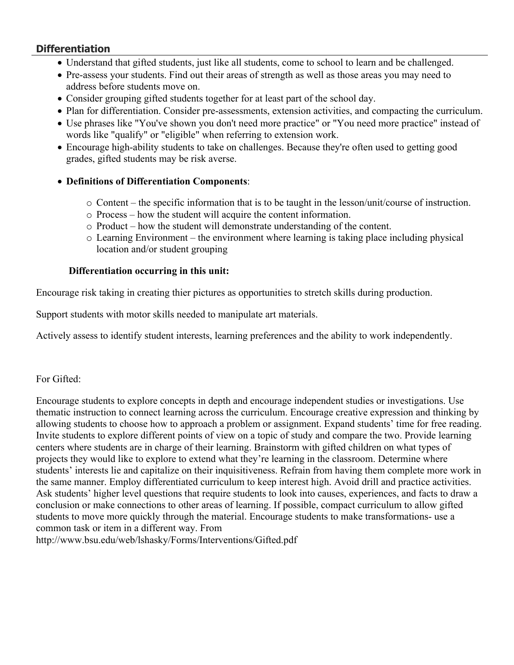#### **Differentiation**

- Understand that gifted students, just like all students, come to school to learn and be challenged.
- Pre-assess your students. Find out their areas of strength as well as those areas you may need to address before students move on.
- Consider grouping gifted students together for at least part of the school day.
- Plan for differentiation. Consider pre-assessments, extension activities, and compacting the curriculum.
- Use phrases like "You've shown you don't need more practice" or "You need more practice" instead of words like "qualify" or "eligible" when referring to extension work.
- Encourage high-ability students to take on challenges. Because they're often used to getting good grades, gifted students may be risk averse.

#### **Definitions of Differentiation Components**:

- o Content the specific information that is to be taught in the lesson/unit/course of instruction.
- o Process how the student will acquire the content information.
- o Product how the student will demonstrate understanding of the content.
- o Learning Environment the environment where learning is taking place including physical location and/or student grouping

#### **Differentiation occurring in this unit:**

Encourage risk taking in creating thier pictures as opportunities to stretch skills during production.

Support students with motor skills needed to manipulate art materials.

Actively assess to identify student interests, learning preferences and the ability to work independently.

#### For Gifted:

Encourage students to explore concepts in depth and encourage independent studies or investigations. Use thematic instruction to connect learning across the curriculum. Encourage creative expression and thinking by allowing students to choose how to approach a problem or assignment. Expand students' time for free reading. Invite students to explore different points of view on a topic of study and compare the two. Provide learning centers where students are in charge of their learning. Brainstorm with gifted children on what types of projects they would like to explore to extend what they're learning in the classroom. Determine where students' interests lie and capitalize on their inquisitiveness. Refrain from having them complete more work in the same manner. Employ differentiated curriculum to keep interest high. Avoid drill and practice activities. Ask students' higher level questions that require students to look into causes, experiences, and facts to draw a conclusion or make connections to other areas of learning. If possible, compact curriculum to allow gifted students to move more quickly through the material. Encourage students to make transformations- use a common task or item in a different way. From http://www.bsu.edu/web/lshasky/Forms/Interventions/Gifted.pdf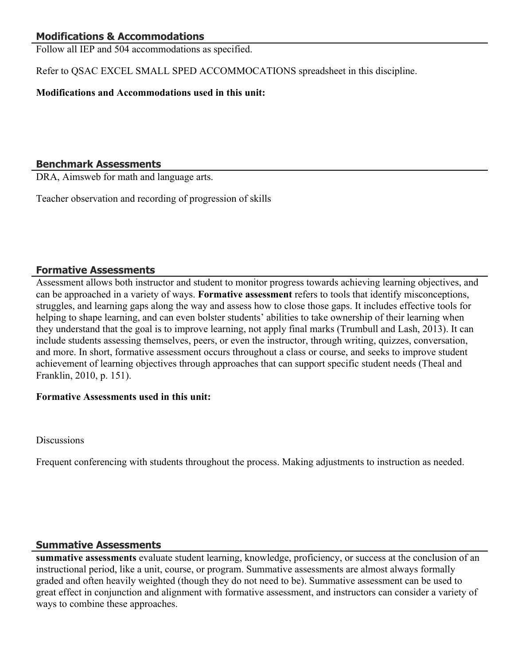### **Modifications & Accommodations**

Follow all IEP and 504 accommodations as specified.

Refer to QSAC EXCEL SMALL SPED ACCOMMOCATIONS spreadsheet in this discipline.

#### **Modifications and Accommodations used in this unit:**

#### **Benchmark Assessments**

DRA, Aimsweb for math and language arts.

Teacher observation and recording of progression of skills

#### **Formative Assessments**

Assessment allows both instructor and student to monitor progress towards achieving learning objectives, and can be approached in a variety of ways. **Formative assessment** refers to tools that identify misconceptions, struggles, and learning gaps along the way and assess how to close those gaps. It includes effective tools for helping to shape learning, and can even bolster students' abilities to take ownership of their learning when they understand that the goal is to improve learning, not apply final marks (Trumbull and Lash, 2013). It can include students assessing themselves, peers, or even the instructor, through writing, quizzes, conversation, and more. In short, formative assessment occurs throughout a class or course, and seeks to improve student achievement of learning objectives through approaches that can support specific student needs (Theal and Franklin, 2010, p. 151).

#### **Formative Assessments used in this unit:**

**Discussions** 

Frequent conferencing with students throughout the process. Making adjustments to instruction as needed.

#### **Summative Assessments**

**summative assessments** evaluate student learning, knowledge, proficiency, or success at the conclusion of an instructional period, like a unit, course, or program. Summative assessments are almost always formally graded and often heavily weighted (though they do not need to be). Summative assessment can be used to great effect in conjunction and alignment with formative assessment, and instructors can consider a variety of ways to combine these approaches.